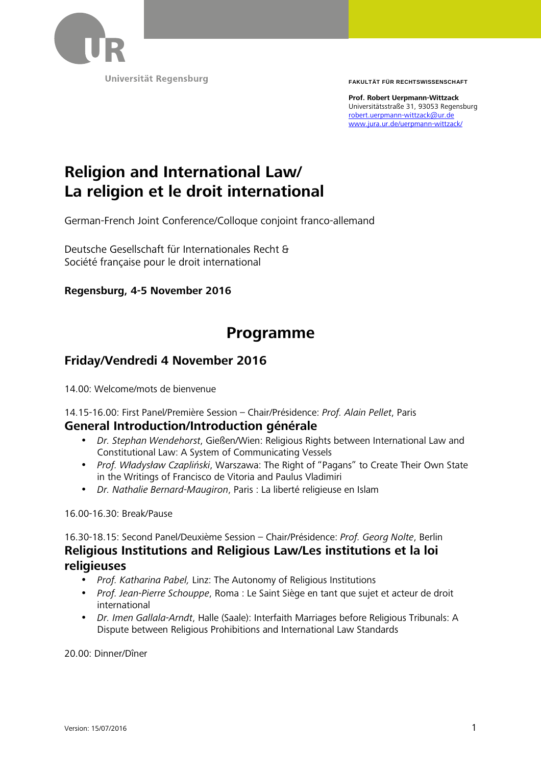

Universität Regensburg

**FAKULTÄT FÜR RECHTSWISSENSCHAFT**

**Prof. Robert Uerpmann-Wittzack**  Universitätsstraße 31, 93053 Regensburg robert.uerpmann-wittzack@ur.de www.jura.ur.de/uerpmann-wittzack/

## **Religion and International Law/ La religion et le droit international**

German-French Joint Conference/Colloque conjoint franco-allemand

Deutsche Gesellschaft für Internationales Recht & Société française pour le droit international

**Regensburg, 4-5 November 2016** 

### **Programme**

#### **Friday/Vendredi 4 November 2016**

14.00: Welcome/mots de bienvenue

14.15-16.00: First Panel/Première Session – Chair/Présidence: *Prof. Alain Pellet*, Paris

#### **General Introduction/Introduction générale**

- *Dr. Stephan Wendehorst*, Gießen/Wien: Religious Rights between International Law and Constitutional Law: A System of Communicating Vessels
- *Prof. Władysław Czapliński*, Warszawa: The Right of "Pagans" to Create Their Own State in the Writings of Francisco de Vitoria and Paulus Vladimiri
- *Dr. Nathalie Bernard-Maugiron*, Paris : La liberté religieuse en Islam

16.00-16.30: Break/Pause

16.30-18.15: Second Panel/Deuxième Session – Chair/Présidence: *Prof. Georg Nolte*, Berlin **Religious Institutions and Religious Law/Les institutions et la loi religieuses** 

- *Prof. Katharina Pabel,* Linz: The Autonomy of Religious Institutions
- *Prof. Jean-Pierre Schouppe*, Roma : Le Saint Siège en tant que sujet et acteur de droit international
- *Dr. Imen Gallala-Arndt*, Halle (Saale): Interfaith Marriages before Religious Tribunals: A Dispute between Religious Prohibitions and International Law Standards

20.00: Dinner/Dîner